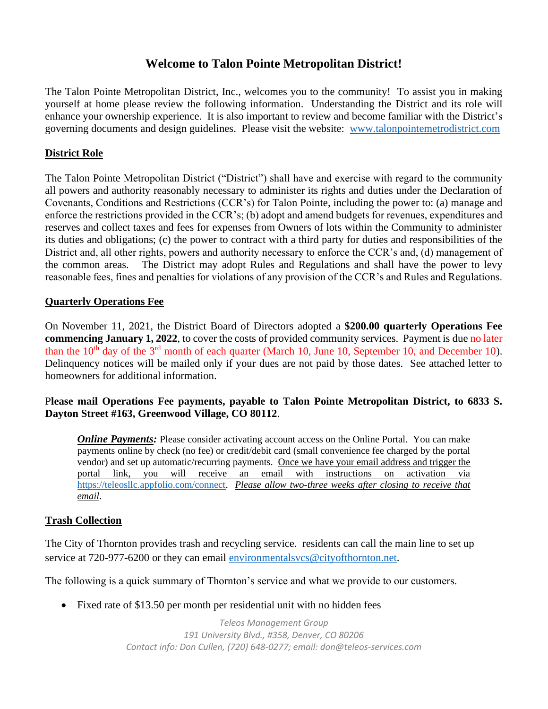# **Welcome to Talon Pointe Metropolitan District!**

The Talon Pointe Metropolitan District, Inc., welcomes you to the community! To assist you in making yourself at home please review the following information. Understanding the District and its role will enhance your ownership experience. It is also important to review and become familiar with the District's governing documents and design guidelines. Please visit the website: [www.talonpointemetrodistrict.com](http://www.talonpointemetrodistrict.com/)

## **District Role**

The Talon Pointe Metropolitan District ("District") shall have and exercise with regard to the community all powers and authority reasonably necessary to administer its rights and duties under the Declaration of Covenants, Conditions and Restrictions (CCR's) for Talon Pointe, including the power to: (a) manage and enforce the restrictions provided in the CCR's; (b) adopt and amend budgets for revenues, expenditures and reserves and collect taxes and fees for expenses from Owners of lots within the Community to administer its duties and obligations; (c) the power to contract with a third party for duties and responsibilities of the District and, all other rights, powers and authority necessary to enforce the CCR's and, (d) management of the common areas. The District may adopt Rules and Regulations and shall have the power to levy reasonable fees, fines and penalties for violations of any provision of the CCR's and Rules and Regulations.

### **Quarterly Operations Fee**

On November 11, 2021, the District Board of Directors adopted a **\$200.00 quarterly Operations Fee commencing January 1, 2022**, to cover the costs of provided community services. Payment is due no later than the  $10<sup>th</sup>$  day of the  $3<sup>rd</sup>$  month of each quarter (March 10, June 10, September 10, and December 10). Delinquency notices will be mailed only if your dues are not paid by those dates. See attached letter to homeowners for additional information.

### P**lease mail Operations Fee payments, payable to Talon Pointe Metropolitan District, to 6833 S. Dayton Street #163, Greenwood Village, CO 80112**.

*Online Payments:* Please consider activating account access on the Online Portal. You can make payments online by check (no fee) or credit/debit card (small convenience fee charged by the portal vendor) and set up automatic/recurring payments. Once we have your email address and trigger the portal link, you will receive an email with instructions on activation via [https://teleosllc.appfolio.com/connect.](https://teleosllc.appfolio.com/connect) *Please allow two-three weeks after closing to receive that email.*

# **Trash Collection**

The City of Thornton provides trash and recycling service. residents can call the main line to set up service at 720-977-6200 or they can email [environmentalsvcs@cityofthornton.net.](mailto:environmentalsvcs@cityofthornton.net)

The following is a quick summary of Thornton's service and what we provide to our customers.

• Fixed rate of \$13.50 per month per residential unit with no hidden fees

*Teleos Management Group 191 University Blvd., #358, Denver, CO 80206 Contact info: Don Cullen, (720) 648-0277; email: don@teleos-services.com*